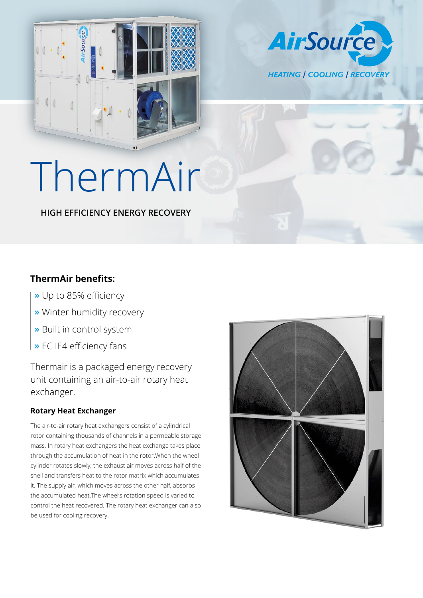

**AirSource HEATING | COOLING | RECOVERY** 

# ThermAir

**HIGH EFFICIENCY ENERGY RECOVERY**

### **ThermAir benefits:**

- **»** Up to 85% efficiency
- **»** Winter humidity recovery
- **»** Built in control system
- **»** EC IE4 efficiency fans

Thermair is a packaged energy recovery unit containing an air-to-air rotary heat exchanger.

#### **Rotary Heat Exchanger**

The air-to-air rotary heat exchangers consist of a cylindrical rotor containing thousands of channels in a permeable storage mass. In rotary heat exchangers the heat exchange takes place through the accumulation of heat in the rotor.When the wheel cylinder rotates slowly, the exhaust air moves across half of the shell and transfers heat to the rotor matrix which accumulates it. The supply air, which moves across the other half, absorbs the accumulated heat.The wheel's rotation speed is varied to control the heat recovered. The rotary heat exchanger can also be used for cooling recovery.